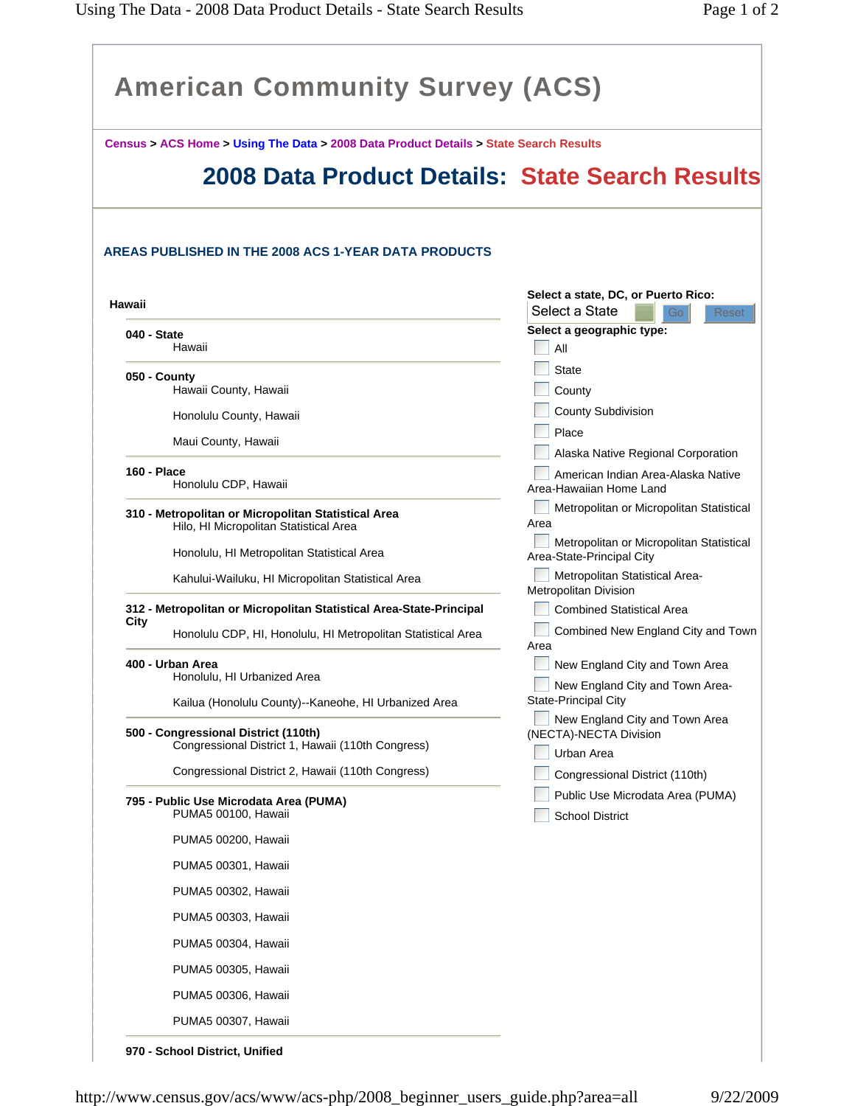| <b>American Community Survey (ACS)</b><br>Census > ACS Home > Using The Data > 2008 Data Product Details > State Search Results<br>2008 Data Product Details: State Search Results |                                                                             |
|------------------------------------------------------------------------------------------------------------------------------------------------------------------------------------|-----------------------------------------------------------------------------|
|                                                                                                                                                                                    |                                                                             |
| Hawaii                                                                                                                                                                             | Select a state, DC, or Puerto Rico:<br>Select a State<br>Go<br><b>Reset</b> |
| 040 - State<br>Hawaii                                                                                                                                                              | Select a geographic type:<br>All                                            |
| 050 - County<br>Hawaii County, Hawaii                                                                                                                                              | <b>State</b><br>County                                                      |
| Honolulu County, Hawaii                                                                                                                                                            | <b>County Subdivision</b>                                                   |
| Maui County, Hawaii                                                                                                                                                                | Place<br>Alaska Native Regional Corporation                                 |
| <b>160 - Place</b><br>Honolulu CDP, Hawaii                                                                                                                                         | American Indian Area-Alaska Native<br>Area-Hawaiian Home Land               |
| 310 - Metropolitan or Micropolitan Statistical Area<br>Hilo, HI Micropolitan Statistical Area                                                                                      | Metropolitan or Micropolitan Statistical<br>Area                            |
| Honolulu, HI Metropolitan Statistical Area                                                                                                                                         | Metropolitan or Micropolitan Statistical<br>Area-State-Principal City       |
| Kahului-Wailuku, HI Micropolitan Statistical Area                                                                                                                                  | Metropolitan Statistical Area-<br>Metropolitan Division                     |
| 312 - Metropolitan or Micropolitan Statistical Area-State-Principal                                                                                                                | <b>Combined Statistical Area</b>                                            |
| City<br>Honolulu CDP, HI, Honolulu, HI Metropolitan Statistical Area                                                                                                               | Combined New England City and Town                                          |
| 400 - Urban Area<br>Honolulu, HI Urbanized Area                                                                                                                                    | Area<br>New England City and Town Area<br>New England City and Town Area-   |
| Kailua (Honolulu County)--Kaneohe, HI Urbanized Area                                                                                                                               | State-Principal City                                                        |
| 500 - Congressional District (110th)<br>Congressional District 1, Hawaii (110th Congress)                                                                                          | New England City and Town Area<br>(NECTA)-NECTA Division<br>Urban Area      |
| Congressional District 2, Hawaii (110th Congress)                                                                                                                                  | Congressional District (110th)                                              |
| 795 - Public Use Microdata Area (PUMA)<br>PUMA5 00100, Hawaii                                                                                                                      | Public Use Microdata Area (PUMA)<br><b>School District</b>                  |
| PUMA5 00200, Hawaii                                                                                                                                                                |                                                                             |
| PUMA5 00301, Hawaii                                                                                                                                                                |                                                                             |
| PUMA5 00302, Hawaii                                                                                                                                                                |                                                                             |
| PUMA5 00303, Hawaii                                                                                                                                                                |                                                                             |
| PUMA5 00304, Hawaii                                                                                                                                                                |                                                                             |
| PUMA5 00305, Hawaii                                                                                                                                                                |                                                                             |
| PUMA5 00306, Hawaii                                                                                                                                                                |                                                                             |
| PUMA5 00307, Hawaii                                                                                                                                                                |                                                                             |

http://www.census.gov/acs/www/acs-php/2008\_beginner\_users\_guide.php?area=all 9/22/2009